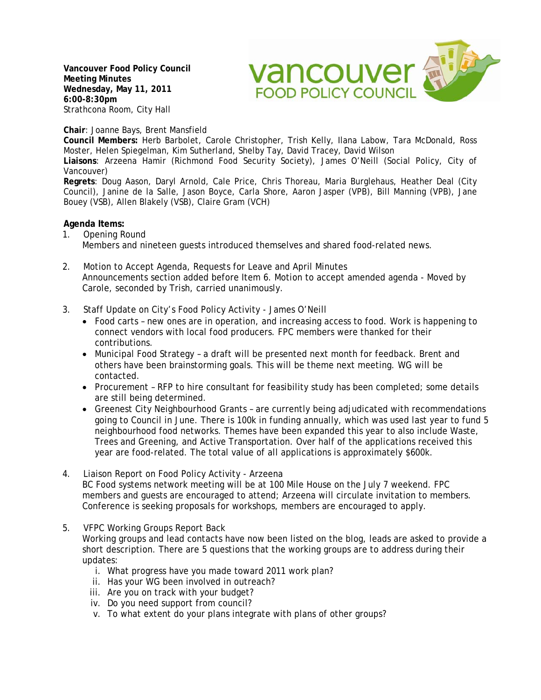**Vancouver Food Policy Council Meeting Minutes Wednesday, May 11, 2011 6:00-8:30pm**  Strathcona Room, City Hall



**Chair**: Joanne Bays, Brent Mansfield

**Council Members:** Herb Barbolet, Carole Christopher, Trish Kelly, Ilana Labow, Tara McDonald, Ross Moster, Helen Spiegelman, Kim Sutherland, Shelby Tay, David Tracey, David Wilson

**Liaisons**: Arzeena Hamir (Richmond Food Security Society), James O'Neill (Social Policy, City of Vancouver)

**Regrets**: Doug Aason, Daryl Arnold, Cale Price, Chris Thoreau, Maria Burglehaus, Heather Deal (City Council), Janine de la Salle, Jason Boyce, Carla Shore, Aaron Jasper (VPB), Bill Manning (VPB), Jane Bouey (VSB), Allen Blakely (VSB), Claire Gram (VCH)

# **Agenda Items:**

- 1. Opening Round Members and nineteen guests introduced themselves and shared food-related news.
- 2. Motion to Accept Agenda, Requests for Leave and April Minutes Announcements section added before Item 6. Motion to accept amended agenda - Moved by Carole, seconded by Trish, carried unanimously.
- 3. Staff Update on City's Food Policy Activity James O'Neill
	- Food carts new ones are in operation, and increasing access to food. Work is happening to connect vendors with local food producers. FPC members were thanked for their contributions.
	- Municipal Food Strategy a draft will be presented next month for feedback. Brent and others have been brainstorming goals. This will be theme next meeting. WG will be contacted.
	- Procurement RFP to hire consultant for feasibility study has been completed; some details are still being determined.
	- Greenest City Neighbourhood Grants are currently being adjudicated with recommendations going to Council in June. There is 100k in funding annually, which was used last year to fund 5 neighbourhood food networks. Themes have been expanded this year to also include Waste, Trees and Greening, and Active Transportation. Over half of the applications received this year are food-related. The total value of all applications is approximately \$600k.
- 4. Liaison Report on Food Policy Activity Arzeena BC Food systems network meeting will be at 100 Mile House on the July 7 weekend. FPC members and guests are encouraged to attend; Arzeena will circulate invitation to members. Conference is seeking proposals for workshops, members are encouraged to apply.
- 5. VFPC Working Groups Report Back

Working groups and lead contacts have now been listed on the blog, leads are asked to provide a short description. There are 5 questions that the working groups are to address during their updates:

- i. What progress have you made toward 2011 work plan?
- ii. Has your WG been involved in outreach?
- iii. Are you on track with your budget?
- iv. Do you need support from council?
- v. To what extent do your plans integrate with plans of other groups?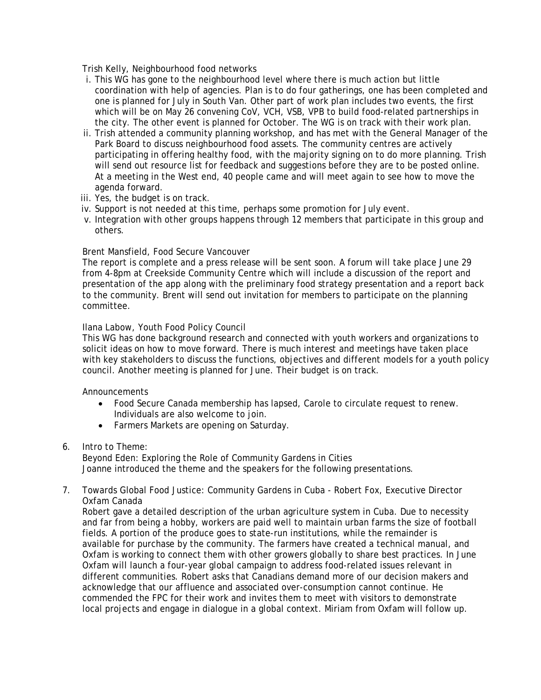Trish Kelly, Neighbourhood food networks

- i. This WG has gone to the neighbourhood level where there is much action but little coordination with help of agencies. Plan is to do four gatherings, one has been completed and one is planned for July in South Van. Other part of work plan includes two events, the first which will be on May 26 convening CoV, VCH, VSB, VPB to build food-related partnerships in the city. The other event is planned for October. The WG is on track with their work plan.
- ii. Trish attended a community planning workshop, and has met with the General Manager of the Park Board to discuss neighbourhood food assets. The community centres are actively participating in offering healthy food, with the majority signing on to do more planning. Trish will send out resource list for feedback and suggestions before they are to be posted online. At a meeting in the West end, 40 people came and will meet again to see how to move the agenda forward.
- iii. Yes, the budget is on track.
- iv. Support is not needed at this time, perhaps some promotion for July event.
- v. Integration with other groups happens through 12 members that participate in this group and others.

# Brent Mansfield, Food Secure Vancouver

The report is complete and a press release will be sent soon. A forum will take place June 29 from 4-8pm at Creekside Community Centre which will include a discussion of the report and presentation of the app along with the preliminary food strategy presentation and a report back to the community. Brent will send out invitation for members to participate on the planning committee.

# Ilana Labow, Youth Food Policy Council

This WG has done background research and connected with youth workers and organizations to solicit ideas on how to move forward. There is much interest and meetings have taken place with key stakeholders to discuss the functions, objectives and different models for a youth policy council. Another meeting is planned for June. Their budget is on track.

## Announcements

- Food Secure Canada membership has lapsed, Carole to circulate request to renew. Individuals are also welcome to join.
- Farmers Markets are opening on Saturday.
- 6. Intro to Theme:

Beyond Eden: Exploring the Role of Community Gardens in Cities Joanne introduced the theme and the speakers for the following presentations.

7. Towards Global Food Justice: Community Gardens in Cuba - Robert Fox, Executive Director Oxfam Canada

Robert gave a detailed description of the urban agriculture system in Cuba. Due to necessity and far from being a hobby, workers are paid well to maintain urban farms the size of football fields. A portion of the produce goes to state-run institutions, while the remainder is available for purchase by the community. The farmers have created a technical manual, and Oxfam is working to connect them with other growers globally to share best practices. In June Oxfam will launch a four-year global campaign to address food-related issues relevant in different communities. Robert asks that Canadians demand more of our decision makers and acknowledge that our affluence and associated over-consumption cannot continue. He commended the FPC for their work and invites them to meet with visitors to demonstrate local projects and engage in dialogue in a global context. Miriam from Oxfam will follow up.